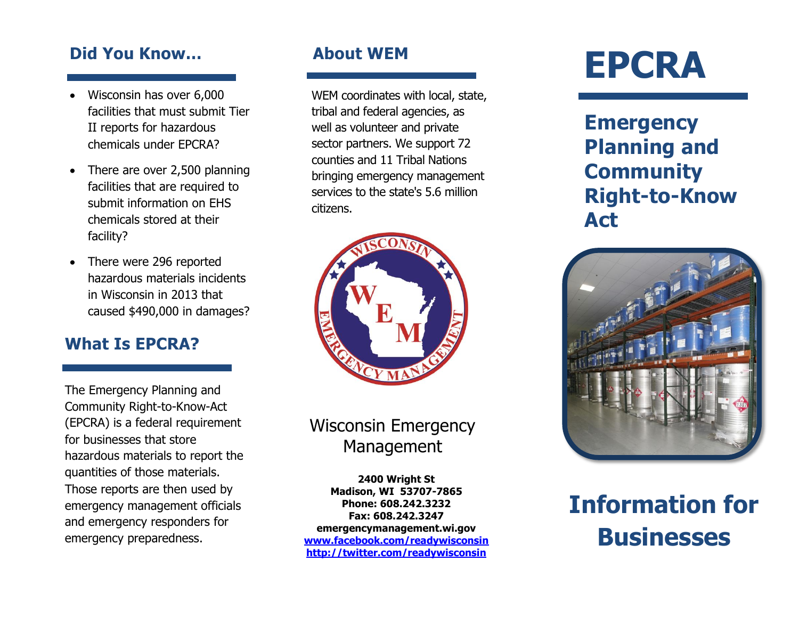#### **Did You Know…**

- Wisconsin has over 6,000 facilities that must submit Tier II reports for hazardous chemicals under EPCRA?
- There are over 2,500 planning facilities that are required to submit information on EHS chemicals stored at their facility?
- There were 296 reported hazardous materials incidents in Wisconsin in 2013 that caused \$490,000 in damages?

#### **What Is EPCRA?**

The Emergency Planning and Community Right-to-Know-Act (EPCRA) is a federal requirement for businesses that store hazardous materials to report the quantities of those materials. Those reports are then used by emergency management officials and emergency responders for emergency preparedness.

WEM coordinates with local, state, tribal and federal agencies, as well as volunteer and private sector partners. We support 72 counties and 11 Tribal Nations bringing emergency management services to the state's 5.6 million citizens.



# Wisconsin Emergency Management

**2400 Wright St Madison, WI 53707-7865 Phone: 608.242.3232 Fax: 608.242.3247 emergencymanagement.wi.gov [www.facebook.com/readywisconsin](http://www.facebook.com/readywisconsin) <http://twitter.com/readywisconsin>**

# **About WEM EPCRA**

**Emergency Planning and Community Right-to-Know Act**



**Information for Businesses**